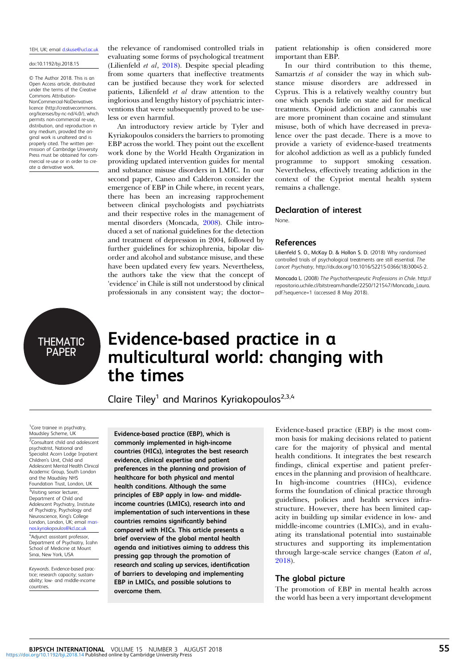### 1EH, UK; email [d.skuse@ucl.ac.uk](mailto:d.skuse@ucl.ac.uk)

#### doi:10.1192/bji.2018.15

© The Author 2018. This is an Open Access article, distributed under the terms of the Creative Commons Attribution-NonCommercial-NoDerivatives licence (http://creativecommons. org/licenses/by-nc-nd/4.0/), which permits non-commercial re-use, distribution, and reproduction in any medium, provided the original work is unaltered and is properly cited. The written permission of Cambridge University Press must be obtained for commercial re-use or in order to create a derivative work.

the relevance of randomised controlled trials in evaluating some forms of psychological treatment (Lilienfeld et al, 2018). Despite special pleading from some quarters that ineffective treatments can be justified because they work for selected patients, Lilienfeld et al draw attention to the inglorious and lengthy history of psychiatric interventions that were subsequently proved to be useless or even harmful.

An introductory review article by Tyler and Kyriakopoulos considers the barriers to promoting EBP across the world. They point out the excellent work done by the World Health Organization in providing updated intervention guides for mental and substance misuse disorders in LMIC. In our second paper, Caneo and Calderon consider the emergence of EBP in Chile where, in recent years, there has been an increasing rapprochement between clinical psychologists and psychiatrists and their respective roles in the management of mental disorders (Moncada, 2008). Chile introduced a set of national guidelines for the detection and treatment of depression in 2004, followed by further guidelines for schizophrenia, bipolar disorder and alcohol and substance misuse, and these have been updated every few years. Nevertheless, the authors take the view that the concept of 'evidence' in Chile is still not understood by clinical professionals in any consistent way; the doctor–

patient relationship is often considered more important than EBP.

In our third contribution to this theme, Samartzis et al consider the way in which substance misuse disorders are addressed in Cyprus. This is a relatively wealthy country but one which spends little on state aid for medical treatments. Opioid addiction and cannabis use are more prominent than cocaine and stimulant misuse, both of which have decreased in prevalence over the past decade. There is a move to provide a variety of evidence-based treatments for alcohol addiction as well as a publicly funded programme to support smoking cessation. Nevertheless, effectively treating addiction in the context of the Cypriot mental health system remains a challenge.

## Declaration of interest

None.

## References

Lilienfeld S. O., McKay D. & Hollon S. D. (2018) Why randomised controlled trials of psychological treatments are still essential. The Lancet Psychiatry, http://dx.doi.org/10.1016/S2215-0366(18)30045-2.

Moncada L. (2008) The Psychotherapeutic Professions in Chile. http:// repositorio.uchile.cl/bitstream/handle/2250/121547/Moncada\_Laura. pdf?sequence=1 (accessed 8 May 2018).

THEMATIC<br>PAPER

# Evidence-based practice in a multicultural world: changing with the times

Claire Tiley<sup>1</sup> and Marinos Kyriakopoulos<sup>2,3,4</sup>

<sup>1</sup> Core trainee in psychiatry, Maudsley Scheme, UK

<sup>2</sup> Consultant child and adolescent psychiatrist, National and Specialist Acorn Lodge Inpatient Children's Unit, Child and Adolescent Mental Health Clinical Academic Group, South London and the Maudsley NHS Foundation Trust, London, UK <sup>3</sup>Visiting senior lecturer, Department of Child and Adolescent Psychiatry, Institute of Psychiatry, Psychology and Neuroscience, King's College

London, London, UK; email mari [nos.kyriakopoulos@kcl.ac.uk](mailto:marinos.kyriakopoulos@kcl.ac.uk) 4 Adjunct assistant professor,

Department of Psychiatry, Icahn School of Medicine at Mount School of Mealchie a

Keywords. Evidence-based practice; research capacity; sustainability; low- and middle-income countries.

Evidence-based practice (EBP), which is commonly implemented in high-income countries (HICs), integrates the best research evidence, clinical expertise and patient preferences in the planning and provision of healthcare for both physical and mental health conditions. Although the same principles of EBP apply in low- and middleincome countries (LMICs), research into and implementation of such interventions in these countries remains significantly behind compared with HICs. This article presents a brief overview of the global mental health agenda and initiatives aiming to address this pressing gap through the promotion of research and scaling up services, identification of barriers to developing and implementing EBP in LMICs, and possible solutions to overcome them.

Evidence-based practice (EBP) is the most common basis for making decisions related to patient care for the majority of physical and mental health conditions. It integrates the best research findings, clinical expertise and patient preferences in the planning and provision of healthcare. In high-income countries (HICs), evidence forms the foundation of clinical practice through guidelines, policies and health services infrastructure. However, there has been limited capacity in building up similar evidence in low- and middle-income countries (LMICs), and in evaluating its translational potential into sustainable structures and supporting its implementation through large-scale service changes (Eaton et al, [2018\)](#page-2-0).

## The global picture

The promotion of EBP in mental health across the world has been a very important development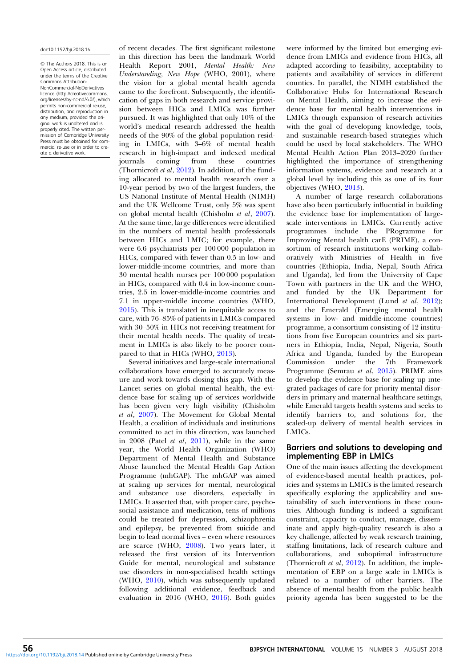#### doi:10.1192/bji.2018.14

© The Authors 2018. This is an Open Access article, distributed under the terms of the Creative Commons Attribution-NonCommercial-NoDerivatives licence (http://creativecommons. org/licenses/by-nc-nd/4.0/), which permits non-commercial re-use, distribution, and reproduction in any medium, provided the original work is unaltered and is properly cited. The written permission of Cambridge University Press must be obtained for commercial re-use or in order to create a derivative work.

of recent decades. The first significant milestone in this direction has been the landmark World Health Report 2001, Mental Health: New Understanding, New Hope (WHO, 2001), where the vision for a global mental health agenda came to the forefront. Subsequently, the identification of gaps in both research and service provision between HICs and LMICs was further pursued. It was highlighted that only 10% of the world's medical research addressed the health needs of the 90% of the global population residing in LMICs, with 3–6% of mental health research in high-impact and indexed medical coming from these countries (Thornicroft *et al*,  $\frac{2012}{201}$ ). In addition, of the funding allocated to mental health research over a 10-year period by two of the largest funders, the US National Institute of Mental Health (NIMH) and the UK Wellcome Trust, only 5% was spent on global mental health (Chisholm et al, [2007\)](#page-2-0). At the same time, large differences were identified in the numbers of mental health professionals between HICs and LMIC; for example, there were 6.6 psychiatrists per 100 000 population in HICs, compared with fewer than 0.5 in low- and lower-middle-income countries, and more than 30 mental health nurses per 100 000 population in HICs, compared with 0.4 in low-income countries, 2.5 in lower-middle-income countries and 7.1 in upper-middle income countries (WHO, [2015\)](#page-2-0). This is translated in inequitable access to care, with 76–85% of patients in LMICs compared with 30–50% in HICs not receiving treatment for their mental health needs. The quality of treatment in LMICs is also likely to be poorer compared to that in HICs (WHO, [2013](#page-2-0)).

Several initiatives and large-scale international collaborations have emerged to accurately measure and work towards closing this gap. With the Lancet series on global mental health, the evidence base for scaling up of services worldwide has been given very high visibility (Chisholm et al, [2007](#page-2-0)). The Movement for Global Mental Health, a coalition of individuals and institutions committed to act in this direction, was launched in 2008 (Patel *et al.* [2011\)](#page-2-0), while in the same year, the World Health Organization (WHO) Department of Mental Health and Substance Abuse launched the Mental Health Gap Action Programme (mhGAP). The mhGAP was aimed at scaling up services for mental, neurological and substance use disorders, especially in LMICs. It asserted that, with proper care, psychosocial assistance and medication, tens of millions could be treated for depression, schizophrenia and epilepsy, be prevented from suicide and begin to lead normal lives – even where resources are scarce (WHO, [2008\)](#page-2-0). Two years later, it released the first version of its Intervention Guide for mental, neurological and substance use disorders in non-specialised health settings (WHO, [2010](#page-2-0)), which was subsequently updated following additional evidence, feedback and evaluation in 2016 (WHO, [2016\)](#page-2-0). Both guides

were informed by the limited but emerging evidence from LMICs and evidence from HICs, all adapted according to feasibility, acceptability to patients and availability of services in different counties. In parallel, the NIMH established the Collaborative Hubs for International Research on Mental Health, aiming to increase the evidence base for mental health interventions in LMICs through expansion of research activities with the goal of developing knowledge, tools, and sustainable research-based strategies which could be used by local stakeholders. The WHO Mental Health Action Plan 2013–2020 further highlighted the importance of strengthening information systems, evidence and research at a global level by including this as one of its four objectives (WHO, [2013](#page-2-0)).

A number of large research collaborations have also been particularly influential in building the evidence base for implementation of largescale interventions in LMICs. Currently active programmes include the PRogramme for Improving Mental health carE (PRIME), a consortium of research institutions working collaboratively with Ministries of Health in five countries (Ethiopia, India, Nepal, South Africa and Uganda), led from the University of Cape Town with partners in the UK and the WHO, and funded by the UK Department for International Development (Lund et al, [2012\)](#page-2-0); and the Emerald (Emerging mental health systems in low- and middle-income countries) programme, a consortium consisting of 12 institutions from five European countries and six partners in Ethiopia, India, Nepal, Nigeria, South Africa and Uganda, funded by the European Commission under the 7th Framework Programme (Semrau et al, [2015\)](#page-2-0). PRIME aims to develop the evidence base for scaling up integrated packages of care for priority mental disorders in primary and maternal healthcare settings, while Emerald targets health systems and seeks to identify barriers to, and solutions for, the scaled-up delivery of mental health services in LMICs.

## Barriers and solutions to developing and implementing EBP in LMICs

One of the main issues affecting the development of evidence-based mental health practices, policies and systems in LMICs is the limited research specifically exploring the applicability and sustainability of such interventions in these countries. Although funding is indeed a significant constraint, capacity to conduct, manage, disseminate and apply high-quality research is also a key challenge, affected by weak research training, staffing limitations, lack of research culture and collaborations, and suboptimal infrastructure (Thornicroft et al, [2012\)](#page-2-0). In addition, the implementation of EBP on a large scale in LMICs is related to a number of other barriers. The absence of mental health from the public health priority agenda has been suggested to be the